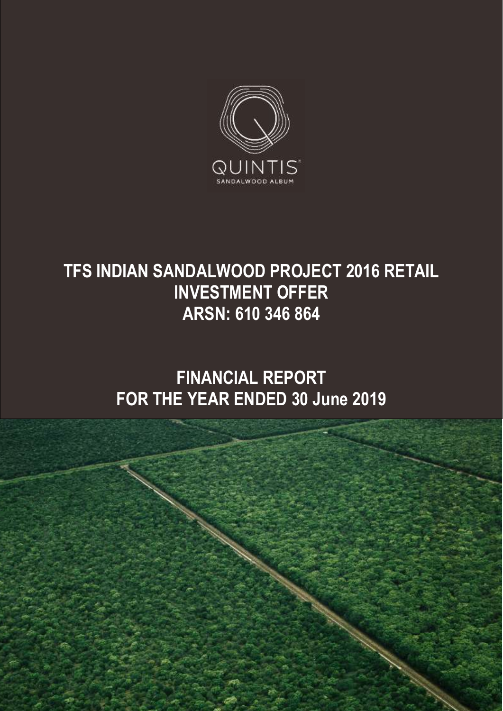

# **TFS INDIAN SANDALWOOD PROJECT 2016 RETAIL INVESTMENT OFFER ARSN: 610 346 864**

# **FINANCIAL REPORT FOR THE YEAR ENDED 30 June 2019**

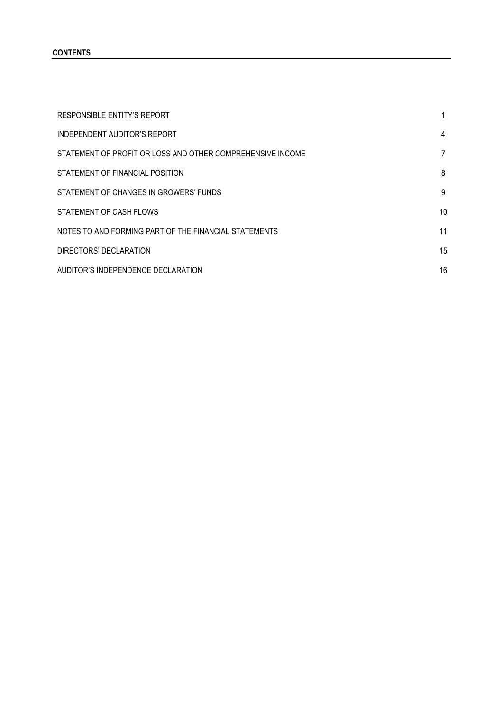#### **CONTENTS**

| <b>RESPONSIBLE ENTITY'S REPORT</b>                         |                |
|------------------------------------------------------------|----------------|
| INDEPENDENT AUDITOR'S REPORT                               | 4              |
| STATEMENT OF PROFIT OR LOSS AND OTHER COMPREHENSIVE INCOME | $\overline{7}$ |
| STATEMENT OF FINANCIAL POSITION                            | 8              |
| STATEMENT OF CHANGES IN GROWERS' FUNDS                     | 9              |
| STATEMENT OF CASH FLOWS                                    | 10             |
| NOTES TO AND FORMING PART OF THE FINANCIAL STATEMENTS      | 11             |
| DIRECTORS' DECLARATION                                     | 15             |
| AUDITOR'S INDEPENDENCE DECLARATION                         | 16             |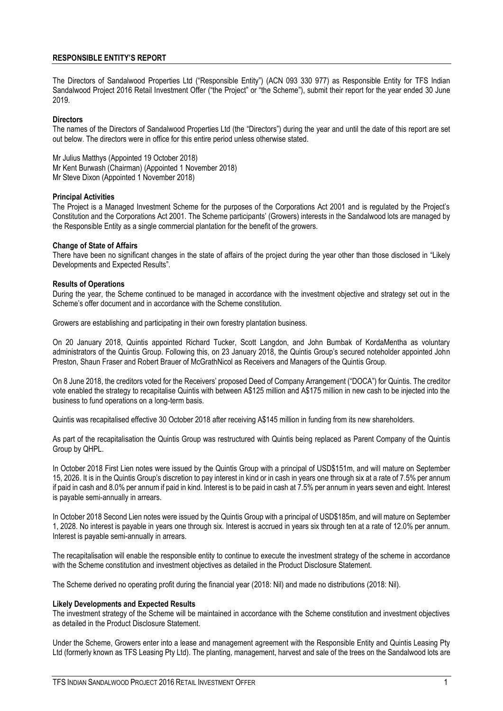#### **RESPONSIBLE ENTITY'S REPORT**

The Directors of Sandalwood Properties Ltd ("Responsible Entity") (ACN 093 330 977) as Responsible Entity for TFS Indian Sandalwood Project 2016 Retail Investment Offer ("the Project" or "the Scheme"), submit their report for the year ended 30 June 2019.

#### **Directors**

The names of the Directors of Sandalwood Properties Ltd (the "Directors") during the year and until the date of this report are set out below. The directors were in office for this entire period unless otherwise stated.

Mr Julius Matthys (Appointed 19 October 2018) Mr Kent Burwash (Chairman) (Appointed 1 November 2018) Mr Steve Dixon (Appointed 1 November 2018)

#### **Principal Activities**

The Project is a Managed Investment Scheme for the purposes of the Corporations Act 2001 and is regulated by the Project's Constitution and the Corporations Act 2001. The Scheme participants' (Growers) interests in the Sandalwood lots are managed by the Responsible Entity as a single commercial plantation for the benefit of the growers.

#### **Change of State of Affairs**

There have been no significant changes in the state of affairs of the project during the year other than those disclosed in "Likely Developments and Expected Results".

#### **Results of Operations**

During the year, the Scheme continued to be managed in accordance with the investment objective and strategy set out in the Scheme's offer document and in accordance with the Scheme constitution.

Growers are establishing and participating in their own forestry plantation business.

On 20 January 2018, Quintis appointed Richard Tucker, Scott Langdon, and John Bumbak of KordaMentha as voluntary administrators of the Quintis Group. Following this, on 23 January 2018, the Quintis Group's secured noteholder appointed John Preston, Shaun Fraser and Robert Brauer of McGrathNicol as Receivers and Managers of the Quintis Group.

On 8 June 2018, the creditors voted for the Receivers' proposed Deed of Company Arrangement ("DOCA") for Quintis. The creditor vote enabled the strategy to recapitalise Quintis with between A\$125 million and A\$175 million in new cash to be injected into the business to fund operations on a long-term basis.

Quintis was recapitalised effective 30 October 2018 after receiving A\$145 million in funding from its new shareholders.

As part of the recapitalisation the Quintis Group was restructured with Quintis being replaced as Parent Company of the Quintis Group by QHPL.

In October 2018 First Lien notes were issued by the Quintis Group with a principal of USD\$151m, and will mature on September 15, 2026. It is in the Quintis Group's discretion to pay interest in kind or in cash in years one through six at a rate of 7.5% per annum if paid in cash and 8.0% per annum if paid in kind. Interest is to be paid in cash at 7.5% per annum in years seven and eight. Interest is payable semi-annually in arrears.

In October 2018 Second Lien notes were issued by the Quintis Group with a principal of USD\$185m, and will mature on September 1, 2028. No interest is payable in years one through six. Interest is accrued in years six through ten at a rate of 12.0% per annum. Interest is payable semi-annually in arrears.

The recapitalisation will enable the responsible entity to continue to execute the investment strategy of the scheme in accordance with the Scheme constitution and investment objectives as detailed in the Product Disclosure Statement.

The Scheme derived no operating profit during the financial year (2018: Nil) and made no distributions (2018: Nil).

#### **Likely Developments and Expected Results**

The investment strategy of the Scheme will be maintained in accordance with the Scheme constitution and investment objectives as detailed in the Product Disclosure Statement.

Under the Scheme, Growers enter into a lease and management agreement with the Responsible Entity and Quintis Leasing Pty Ltd (formerly known as TFS Leasing Pty Ltd). The planting, management, harvest and sale of the trees on the Sandalwood lots are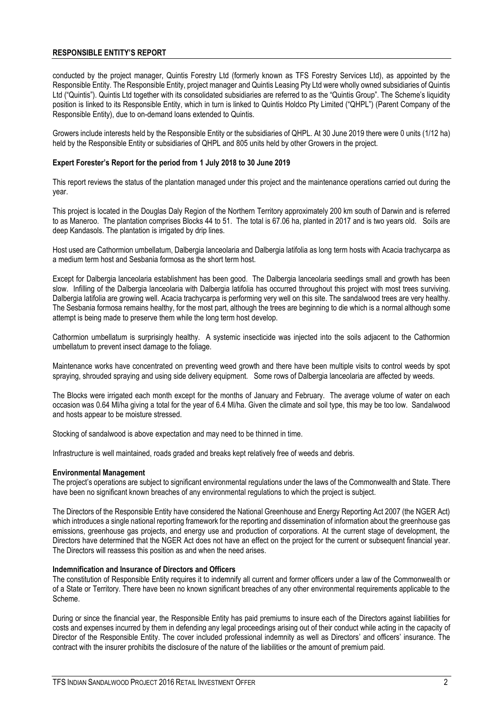#### **RESPONSIBLE ENTITY'S REPORT**

conducted by the project manager, Quintis Forestry Ltd (formerly known as TFS Forestry Services Ltd), as appointed by the Responsible Entity. The Responsible Entity, project manager and Quintis Leasing Pty Ltd were wholly owned subsidiaries of Quintis Ltd ("Quintis"). Quintis Ltd together with its consolidated subsidiaries are referred to as the "Quintis Group". The Scheme's liquidity position is linked to its Responsible Entity, which in turn is linked to Quintis Holdco Pty Limited ("QHPL") (Parent Company of the Responsible Entity), due to on-demand loans extended to Quintis.

Growers include interests held by the Responsible Entity or the subsidiaries of QHPL. At 30 June 2019 there were 0 units (1/12 ha) held by the Responsible Entity or subsidiaries of QHPL and 805 units held by other Growers in the project.

#### **Expert Forester's Report for the period from 1 July 2018 to 30 June 2019**

This report reviews the status of the plantation managed under this project and the maintenance operations carried out during the year.

This project is located in the Douglas Daly Region of the Northern Territory approximately 200 km south of Darwin and is referred to as Maneroo. The plantation comprises Blocks 44 to 51. The total is 67.06 ha, planted in 2017 and is two years old. Soils are deep Kandasols. The plantation is irrigated by drip lines.

Host used are Cathormion umbellatum, Dalbergia lanceolaria and Dalbergia latifolia as long term hosts with Acacia trachycarpa as a medium term host and Sesbania formosa as the short term host.

Except for Dalbergia lanceolaria establishment has been good. The Dalbergia lanceolaria seedlings small and growth has been slow. Infilling of the Dalbergia lanceolaria with Dalbergia latifolia has occurred throughout this project with most trees surviving. Dalbergia latifolia are growing well. Acacia trachycarpa is performing very well on this site. The sandalwood trees are very healthy. The Sesbania formosa remains healthy, for the most part, although the trees are beginning to die which is a normal although some attempt is being made to preserve them while the long term host develop.

Cathormion umbellatum is surprisingly healthy. A systemic insecticide was injected into the soils adjacent to the Cathormion umbellatum to prevent insect damage to the foliage.

Maintenance works have concentrated on preventing weed growth and there have been multiple visits to control weeds by spot spraying, shrouded spraying and using side delivery equipment. Some rows of Dalbergia lanceolaria are affected by weeds.

The Blocks were irrigated each month except for the months of January and February. The average volume of water on each occasion was 0.64 Ml/ha giving a total for the year of 6.4 Ml/ha. Given the climate and soil type, this may be too low. Sandalwood and hosts appear to be moisture stressed.

Stocking of sandalwood is above expectation and may need to be thinned in time.

Infrastructure is well maintained, roads graded and breaks kept relatively free of weeds and debris.

#### **Environmental Management**

The project's operations are subject to significant environmental regulations under the laws of the Commonwealth and State. There have been no significant known breaches of any environmental regulations to which the project is subject.

The Directors of the Responsible Entity have considered the National Greenhouse and Energy Reporting Act 2007 (the NGER Act) which introduces a single national reporting framework for the reporting and dissemination of information about the greenhouse gas emissions, greenhouse gas projects, and energy use and production of corporations. At the current stage of development, the Directors have determined that the NGER Act does not have an effect on the project for the current or subsequent financial year. The Directors will reassess this position as and when the need arises.

#### **Indemnification and Insurance of Directors and Officers**

The constitution of Responsible Entity requires it to indemnify all current and former officers under a law of the Commonwealth or of a State or Territory. There have been no known significant breaches of any other environmental requirements applicable to the Scheme.

During or since the financial year, the Responsible Entity has paid premiums to insure each of the Directors against liabilities for costs and expenses incurred by them in defending any legal proceedings arising out of their conduct while acting in the capacity of Director of the Responsible Entity. The cover included professional indemnity as well as Directors' and officers' insurance. The contract with the insurer prohibits the disclosure of the nature of the liabilities or the amount of premium paid.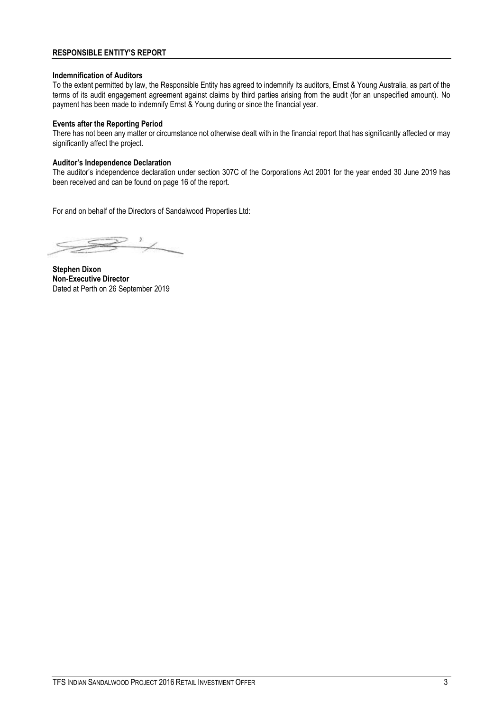#### **RESPONSIBLE ENTITY'S REPORT**

#### **Indemnification of Auditors**

To the extent permitted by law, the Responsible Entity has agreed to indemnify its auditors, Ernst & Young Australia, as part of the terms of its audit engagement agreement against claims by third parties arising from the audit (for an unspecified amount). No payment has been made to indemnify Ernst & Young during or since the financial year.

#### **Events after the Reporting Period**

There has not been any matter or circumstance not otherwise dealt with in the financial report that has significantly affected or may significantly affect the project.

#### **Auditor's Independence Declaration**

The auditor's independence declaration under section 307C of the Corporations Act 2001 for the year ended 30 June 2019 has been received and can be found on page 16 of the report.

For and on behalf of the Directors of Sandalwood Properties Ltd:

**Stephen Dixon Non-Executive Director** Dated at Perth on 26 September 2019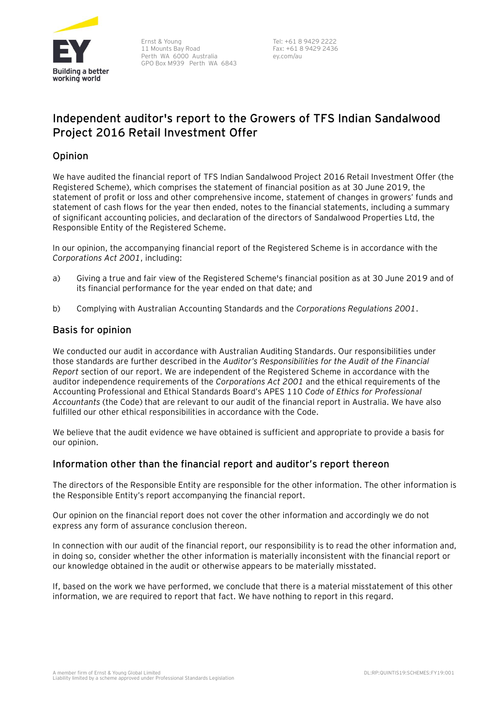

Ernst & Young 11 Mounts Bay Road Perth WA 6000 Australia GPO Box M939 Perth WA 6843

Tel: +61 8 9429 2222 Fax: +61 8 9429 2436 ey.com/au

## **Independent auditor's report to the Growers of TFS Indian Sandalwood Project 2016 Retail Investment Offer**

## Opinion

We have audited the financial report of TFS Indian Sandalwood Project 2016 Retail Investment Offer (the Registered Scheme), which comprises the statement of financial position as at 30 June 2019, the statement of profit or loss and other comprehensive income, statement of changes in growers' funds and statement of cash flows for the year then ended, notes to the financial statements, including a summary of significant accounting policies, and declaration of the directors of Sandalwood Properties Ltd, the Responsible Entity of the Registered Scheme.

In our opinion, the accompanying financial report of the Registered Scheme is in accordance with the *Corporations Act 2001*, including:

- a) Giving a true and fair view of the Registered Scheme's financial position as at 30 June 2019 and of its financial performance for the year ended on that date; and
- b) Complying with Australian Accounting Standards and the *Corporations Regulations 2001*.

## Basis for opinion

We conducted our audit in accordance with Australian Auditing Standards. Our responsibilities under those standards are further described in the *Auditor's Responsibilities for the Audit of the Financial Report* section of our report. We are independent of the Registered Scheme in accordance with the auditor independence requirements of the *Corporations Act 2001* and the ethical requirements of the Accounting Professional and Ethical Standards Board's APES 110 *Code of Ethics for Professional Accountants* (the Code) that are relevant to our audit of the financial report in Australia. We have also fulfilled our other ethical responsibilities in accordance with the Code.

We believe that the audit evidence we have obtained is sufficient and appropriate to provide a basis for our opinion.

## Information other than the financial report and auditor's report thereon

The directors of the Responsible Entity are responsible for the other information. The other information is the Responsible Entity's report accompanying the financial report.

Our opinion on the financial report does not cover the other information and accordingly we do not express any form of assurance conclusion thereon.

In connection with our audit of the financial report, our responsibility is to read the other information and, in doing so, consider whether the other information is materially inconsistent with the financial report or our knowledge obtained in the audit or otherwise appears to be materially misstated.

If, based on the work we have performed, we conclude that there is a material misstatement of this other information, we are required to report that fact. We have nothing to report in this regard.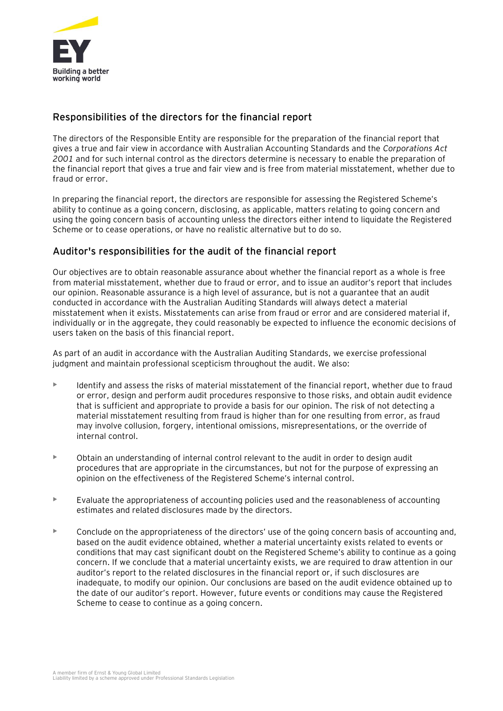

## Responsibilities of the directors for the financial report

The directors of the Responsible Entity are responsible for the preparation of the financial report that gives a true and fair view in accordance with Australian Accounting Standards and the *Corporations Act 2001* and for such internal control as the directors determine is necessary to enable the preparation of the financial report that gives a true and fair view and is free from material misstatement, whether due to fraud or error.

In preparing the financial report, the directors are responsible for assessing the Registered Scheme's ability to continue as a going concern, disclosing, as applicable, matters relating to going concern and using the going concern basis of accounting unless the directors either intend to liquidate the Registered Scheme or to cease operations, or have no realistic alternative but to do so.

## Auditor's responsibilities for the audit of the financial report

Our objectives are to obtain reasonable assurance about whether the financial report as a whole is free from material misstatement, whether due to fraud or error, and to issue an auditor's report that includes our opinion. Reasonable assurance is a high level of assurance, but is not a guarantee that an audit conducted in accordance with the Australian Auditing Standards will always detect a material misstatement when it exists. Misstatements can arise from fraud or error and are considered material if, individually or in the aggregate, they could reasonably be expected to influence the economic decisions of users taken on the basis of this financial report.

As part of an audit in accordance with the Australian Auditing Standards, we exercise professional judgment and maintain professional scepticism throughout the audit. We also:

- Identify and assess the risks of material misstatement of the financial report, whether due to fraud or error, design and perform audit procedures responsive to those risks, and obtain audit evidence that is sufficient and appropriate to provide a basis for our opinion. The risk of not detecting a material misstatement resulting from fraud is higher than for one resulting from error, as fraud may involve collusion, forgery, intentional omissions, misrepresentations, or the override of internal control.
- Obtain an understanding of internal control relevant to the audit in order to design audit procedures that are appropriate in the circumstances, but not for the purpose of expressing an opinion on the effectiveness of the Registered Scheme's internal control.
- $\blacktriangleright$  Evaluate the appropriateness of accounting policies used and the reasonableness of accounting estimates and related disclosures made by the directors.
- Conclude on the appropriateness of the directors' use of the going concern basis of accounting and, based on the audit evidence obtained, whether a material uncertainty exists related to events or conditions that may cast significant doubt on the Registered Scheme's ability to continue as a going concern. If we conclude that a material uncertainty exists, we are required to draw attention in our auditor's report to the related disclosures in the financial report or, if such disclosures are inadequate, to modify our opinion. Our conclusions are based on the audit evidence obtained up to the date of our auditor's report. However, future events or conditions may cause the Registered Scheme to cease to continue as a going concern.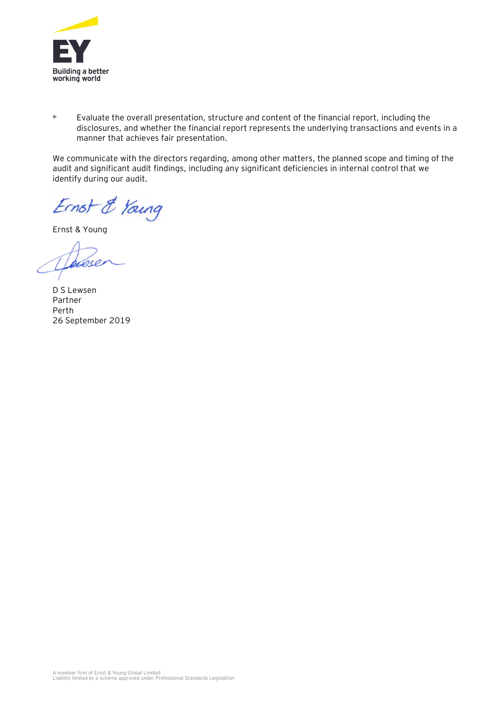

• Evaluate the overall presentation, structure and content of the financial report, including the disclosures, and whether the financial report represents the underlying transactions and events in a manner that achieves fair presentation.

We communicate with the directors regarding, among other matters, the planned scope and timing of the audit and significant audit findings, including any significant deficiencies in internal control that we identify during our audit.

Ernst & Young

Ernst & Young

D S Lewsen Partner Perth 26 September 2019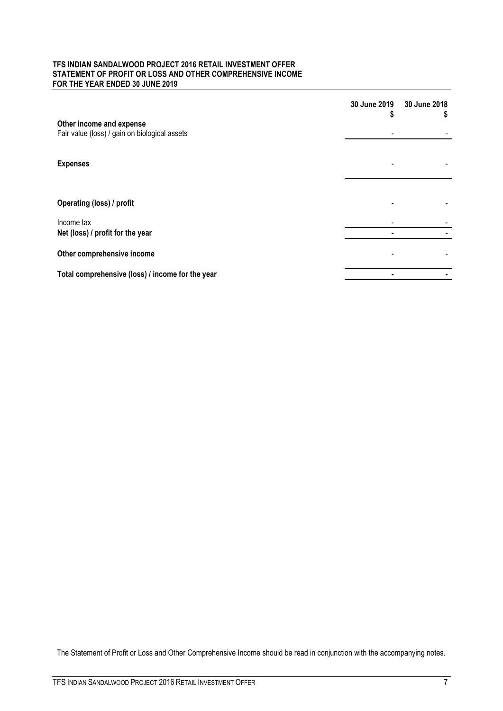#### **TFS INDIAN SANDALWOOD PROJECT 2016 RETAIL INVESTMENT OFFER STATEMENT OF PROFIT OR LOSS AND OTHER COMPREHENSIVE INCOME FOR THE YEAR ENDED 30 JUNE 2019**

|                                                                           | 30 June 2019<br>S | 30 June 2018<br>y. |
|---------------------------------------------------------------------------|-------------------|--------------------|
| Other income and expense<br>Fair value (loss) / gain on biological assets |                   |                    |
|                                                                           |                   |                    |
| <b>Expenses</b>                                                           |                   |                    |
|                                                                           |                   |                    |
| Operating (loss) / profit                                                 |                   |                    |
| Income tax<br>Net (loss) / profit for the year                            | ٠                 |                    |
| Other comprehensive income                                                |                   |                    |
|                                                                           |                   |                    |
| Total comprehensive (loss) / income for the year                          |                   |                    |

The Statement of Profit or Loss and Other Comprehensive Income should be read in conjunction with the accompanying notes.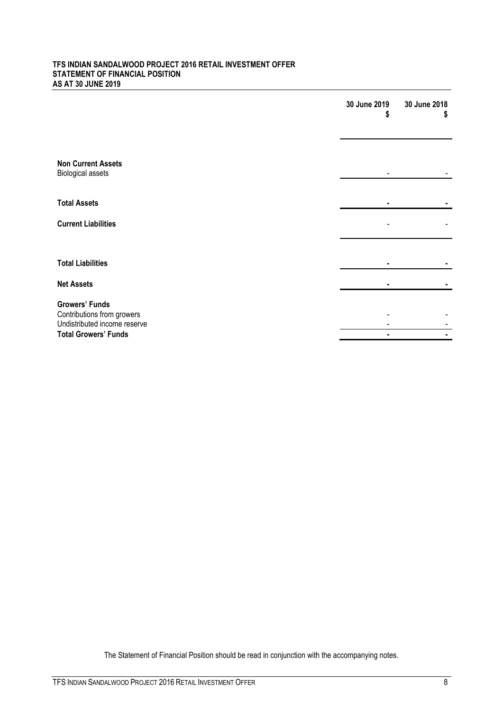#### **TFS INDIAN SANDALWOOD PROJECT 2016 RETAIL INVESTMENT OFFER STATEMENT OF FINANCIAL POSITION AS AT 30 JUNE 2019**

|                                                            | 30 June 2019<br>S | 30 June 2018<br>S |
|------------------------------------------------------------|-------------------|-------------------|
|                                                            |                   |                   |
| <b>Non Current Assets</b><br><b>Biological assets</b>      |                   |                   |
| <b>Total Assets</b>                                        |                   |                   |
| <b>Current Liabilities</b>                                 |                   |                   |
|                                                            |                   |                   |
| <b>Total Liabilities</b>                                   |                   |                   |
| <b>Net Assets</b>                                          |                   |                   |
| <b>Growers' Funds</b>                                      |                   |                   |
| Contributions from growers<br>Undistributed income reserve |                   |                   |
| <b>Total Growers' Funds</b>                                |                   |                   |

The Statement of Financial Position should be read in conjunction with the accompanying notes.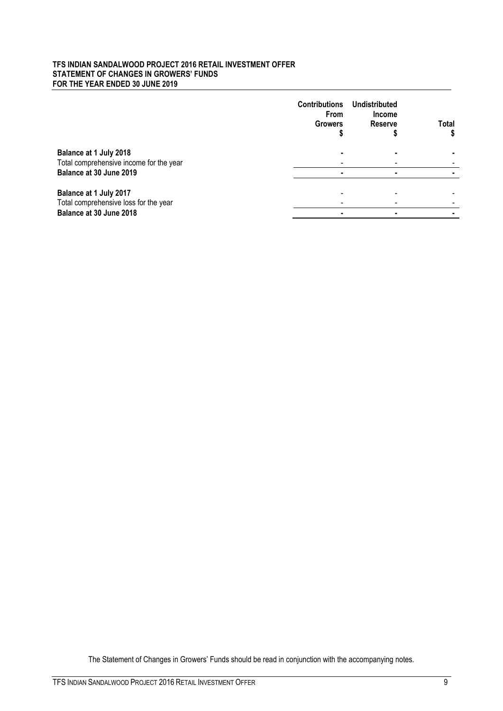#### **TFS INDIAN SANDALWOOD PROJECT 2016 RETAIL INVESTMENT OFFER STATEMENT OF CHANGES IN GROWERS' FUNDS FOR THE YEAR ENDED 30 JUNE 2019**

|                                         | <b>Contributions</b><br><b>From</b><br><b>Growers</b> | Undistributed<br><b>Income</b><br><b>Reserve</b> | <b>Total</b> |
|-----------------------------------------|-------------------------------------------------------|--------------------------------------------------|--------------|
| Balance at 1 July 2018                  |                                                       |                                                  |              |
| Total comprehensive income for the year |                                                       |                                                  |              |
| Balance at 30 June 2019                 |                                                       |                                                  |              |
|                                         |                                                       |                                                  |              |
| Balance at 1 July 2017                  |                                                       |                                                  |              |
| Total comprehensive loss for the year   |                                                       |                                                  |              |
| Balance at 30 June 2018                 |                                                       |                                                  |              |

The Statement of Changes in Growers' Funds should be read in conjunction with the accompanying notes.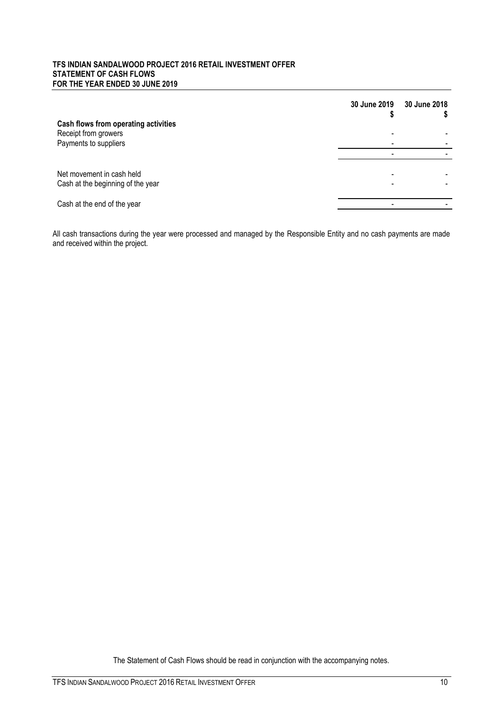#### **TFS INDIAN SANDALWOOD PROJECT 2016 RETAIL INVESTMENT OFFER STATEMENT OF CASH FLOWS FOR THE YEAR ENDED 30 JUNE 2019**

|                                                                | 30 June 2019 | 30 June 2018 |
|----------------------------------------------------------------|--------------|--------------|
| Cash flows from operating activities<br>Receipt from growers   |              |              |
| Payments to suppliers                                          |              |              |
|                                                                |              |              |
| Net movement in cash held<br>Cash at the beginning of the year |              |              |
| Cash at the end of the year                                    |              |              |

All cash transactions during the year were processed and managed by the Responsible Entity and no cash payments are made and received within the project.

The Statement of Cash Flows should be read in conjunction with the accompanying notes.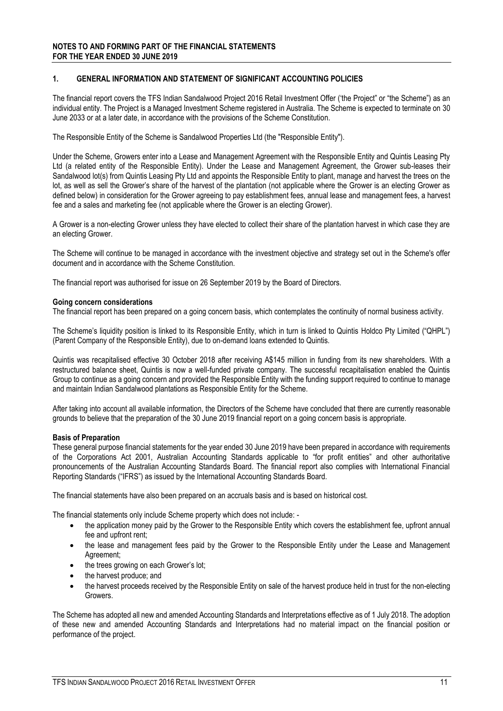#### **1. GENERAL INFORMATION AND STATEMENT OF SIGNIFICANT ACCOUNTING POLICIES**

The financial report covers the TFS Indian Sandalwood Project 2016 Retail Investment Offer ('the Project" or "the Scheme") as an individual entity. The Project is a Managed Investment Scheme registered in Australia. The Scheme is expected to terminate on 30 June 2033 or at a later date, in accordance with the provisions of the Scheme Constitution.

The Responsible Entity of the Scheme is Sandalwood Properties Ltd (the "Responsible Entity").

Under the Scheme, Growers enter into a Lease and Management Agreement with the Responsible Entity and Quintis Leasing Pty Ltd (a related entity of the Responsible Entity). Under the Lease and Management Agreement, the Grower sub-leases their Sandalwood lot(s) from Quintis Leasing Pty Ltd and appoints the Responsible Entity to plant, manage and harvest the trees on the lot, as well as sell the Grower's share of the harvest of the plantation (not applicable where the Grower is an electing Grower as defined below) in consideration for the Grower agreeing to pay establishment fees, annual lease and management fees, a harvest fee and a sales and marketing fee (not applicable where the Grower is an electing Grower).

A Grower is a non-electing Grower unless they have elected to collect their share of the plantation harvest in which case they are an electing Grower.

The Scheme will continue to be managed in accordance with the investment objective and strategy set out in the Scheme's offer document and in accordance with the Scheme Constitution.

The financial report was authorised for issue on 26 September 2019 by the Board of Directors.

#### **Going concern considerations**

The financial report has been prepared on a going concern basis, which contemplates the continuity of normal business activity.

The Scheme's liquidity position is linked to its Responsible Entity, which in turn is linked to Quintis Holdco Pty Limited ("QHPL") (Parent Company of the Responsible Entity), due to on-demand loans extended to Quintis.

Quintis was recapitalised effective 30 October 2018 after receiving A\$145 million in funding from its new shareholders. With a restructured balance sheet, Quintis is now a well-funded private company. The successful recapitalisation enabled the Quintis Group to continue as a going concern and provided the Responsible Entity with the funding support required to continue to manage and maintain Indian Sandalwood plantations as Responsible Entity for the Scheme.

After taking into account all available information, the Directors of the Scheme have concluded that there are currently reasonable grounds to believe that the preparation of the 30 June 2019 financial report on a going concern basis is appropriate.

#### **Basis of Preparation**

These general purpose financial statements for the year ended 30 June 2019 have been prepared in accordance with requirements of the Corporations Act 2001, Australian Accounting Standards applicable to "for profit entities" and other authoritative pronouncements of the Australian Accounting Standards Board. The financial report also complies with International Financial Reporting Standards ("IFRS") as issued by the International Accounting Standards Board.

The financial statements have also been prepared on an accruals basis and is based on historical cost.

The financial statements only include Scheme property which does not include: -

- the application money paid by the Grower to the Responsible Entity which covers the establishment fee, upfront annual fee and upfront rent;
- the lease and management fees paid by the Grower to the Responsible Entity under the Lease and Management Agreement;
- the trees growing on each Grower's lot;
- the harvest produce; and
- the harvest proceeds received by the Responsible Entity on sale of the harvest produce held in trust for the non-electing Growers.

The Scheme has adopted all new and amended Accounting Standards and Interpretations effective as of 1 July 2018. The adoption of these new and amended Accounting Standards and Interpretations had no material impact on the financial position or performance of the project.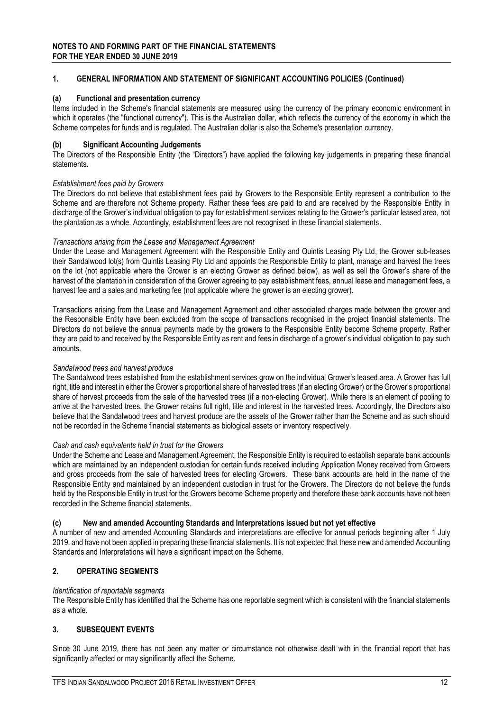#### **1. GENERAL INFORMATION AND STATEMENT OF SIGNIFICANT ACCOUNTING POLICIES (Continued)**

#### **(a) Functional and presentation currency**

Items included in the Scheme's financial statements are measured using the currency of the primary economic environment in which it operates (the "functional currency"). This is the Australian dollar, which reflects the currency of the economy in which the Scheme competes for funds and is regulated. The Australian dollar is also the Scheme's presentation currency.

#### **(b) Significant Accounting Judgements**

The Directors of the Responsible Entity (the "Directors") have applied the following key judgements in preparing these financial statements.

#### *Establishment fees paid by Growers*

The Directors do not believe that establishment fees paid by Growers to the Responsible Entity represent a contribution to the Scheme and are therefore not Scheme property. Rather these fees are paid to and are received by the Responsible Entity in discharge of the Grower's individual obligation to pay for establishment services relating to the Grower's particular leased area, not the plantation as a whole. Accordingly, establishment fees are not recognised in these financial statements.

#### *Transactions arising from the Lease and Management Agreement*

Under the Lease and Management Agreement with the Responsible Entity and Quintis Leasing Pty Ltd, the Grower sub-leases their Sandalwood lot(s) from Quintis Leasing Pty Ltd and appoints the Responsible Entity to plant, manage and harvest the trees on the lot (not applicable where the Grower is an electing Grower as defined below), as well as sell the Grower's share of the harvest of the plantation in consideration of the Grower agreeing to pay establishment fees, annual lease and management fees, a harvest fee and a sales and marketing fee (not applicable where the grower is an electing grower).

Transactions arising from the Lease and Management Agreement and other associated charges made between the grower and the Responsible Entity have been excluded from the scope of transactions recognised in the project financial statements. The Directors do not believe the annual payments made by the growers to the Responsible Entity become Scheme property. Rather they are paid to and received by the Responsible Entity as rent and fees in discharge of a grower's individual obligation to pay such amounts.

#### *Sandalwood trees and harvest produce*

The Sandalwood trees established from the establishment services grow on the individual Grower's leased area. A Grower has full right, title and interest in either the Grower's proportional share of harvested trees (if an electing Grower) or the Grower's proportional share of harvest proceeds from the sale of the harvested trees (if a non-electing Grower). While there is an element of pooling to arrive at the harvested trees, the Grower retains full right, title and interest in the harvested trees. Accordingly, the Directors also believe that the Sandalwood trees and harvest produce are the assets of the Grower rather than the Scheme and as such should not be recorded in the Scheme financial statements as biological assets or inventory respectively.

#### *Cash and cash equivalents held in trust for the Growers*

Under the Scheme and Lease and Management Agreement, the Responsible Entity is required to establish separate bank accounts which are maintained by an independent custodian for certain funds received including Application Money received from Growers and gross proceeds from the sale of harvested trees for electing Growers. These bank accounts are held in the name of the Responsible Entity and maintained by an independent custodian in trust for the Growers. The Directors do not believe the funds held by the Responsible Entity in trust for the Growers become Scheme property and therefore these bank accounts have not been recorded in the Scheme financial statements.

#### **(c) New and amended Accounting Standards and Interpretations issued but not yet effective**

A number of new and amended Accounting Standards and interpretations are effective for annual periods beginning after 1 July 2019, and have not been applied in preparing these financial statements. It is not expected that these new and amended Accounting Standards and Interpretations will have a significant impact on the Scheme.

#### **2. OPERATING SEGMENTS**

#### *Identification of reportable segments*

The Responsible Entity has identified that the Scheme has one reportable segment which is consistent with the financial statements as a whole.

#### **3. SUBSEQUENT EVENTS**

Since 30 June 2019, there has not been any matter or circumstance not otherwise dealt with in the financial report that has significantly affected or may significantly affect the Scheme.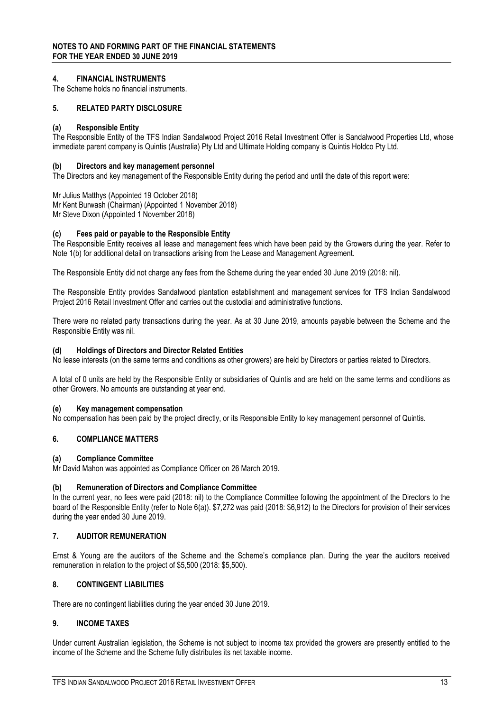#### **4. FINANCIAL INSTRUMENTS**

The Scheme holds no financial instruments.

#### **5. RELATED PARTY DISCLOSURE**

#### **(a) Responsible Entity**

The Responsible Entity of the TFS Indian Sandalwood Project 2016 Retail Investment Offer is Sandalwood Properties Ltd, whose immediate parent company is Quintis (Australia) Pty Ltd and Ultimate Holding company is Quintis Holdco Pty Ltd.

#### **(b) Directors and key management personnel**

The Directors and key management of the Responsible Entity during the period and until the date of this report were:

Mr Julius Matthys (Appointed 19 October 2018) Mr Kent Burwash (Chairman) (Appointed 1 November 2018) Mr Steve Dixon (Appointed 1 November 2018)

#### **(c) Fees paid or payable to the Responsible Entity**

The Responsible Entity receives all lease and management fees which have been paid by the Growers during the year. Refer to Note 1(b) for additional detail on transactions arising from the Lease and Management Agreement.

The Responsible Entity did not charge any fees from the Scheme during the year ended 30 June 2019 (2018: nil).

The Responsible Entity provides Sandalwood plantation establishment and management services for TFS Indian Sandalwood Project 2016 Retail Investment Offer and carries out the custodial and administrative functions.

There were no related party transactions during the year. As at 30 June 2019, amounts payable between the Scheme and the Responsible Entity was nil.

#### **(d) Holdings of Directors and Director Related Entities**

No lease interests (on the same terms and conditions as other growers) are held by Directors or parties related to Directors.

A total of 0 units are held by the Responsible Entity or subsidiaries of Quintis and are held on the same terms and conditions as other Growers. No amounts are outstanding at year end.

#### **(e) Key management compensation**

No compensation has been paid by the project directly, or its Responsible Entity to key management personnel of Quintis.

#### **6. COMPLIANCE MATTERS**

#### **(a) Compliance Committee**

Mr David Mahon was appointed as Compliance Officer on 26 March 2019.

#### **(b) Remuneration of Directors and Compliance Committee**

In the current year, no fees were paid (2018: nil) to the Compliance Committee following the appointment of the Directors to the board of the Responsible Entity (refer to Note 6(a)). \$7,272 was paid (2018: \$6,912) to the Directors for provision of their services during the year ended 30 June 2019.

#### **7. AUDITOR REMUNERATION**

Ernst & Young are the auditors of the Scheme and the Scheme's compliance plan. During the year the auditors received remuneration in relation to the project of \$5,500 (2018: \$5,500).

#### **8. CONTINGENT LIABILITIES**

There are no contingent liabilities during the year ended 30 June 2019.

#### **9. INCOME TAXES**

Under current Australian legislation, the Scheme is not subject to income tax provided the growers are presently entitled to the income of the Scheme and the Scheme fully distributes its net taxable income.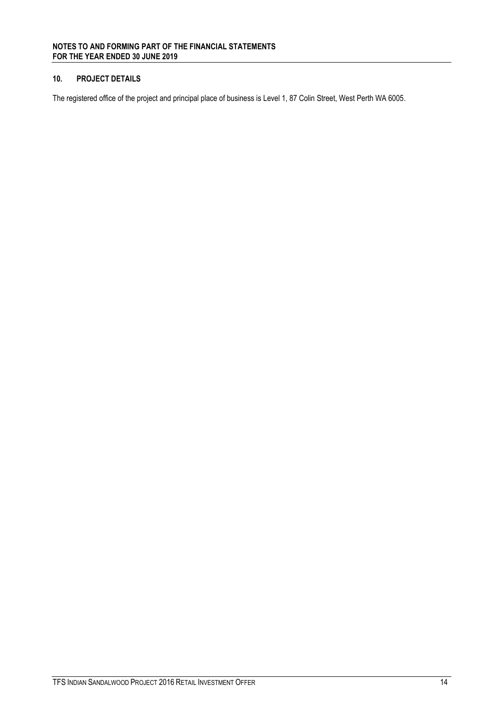### **10. PROJECT DETAILS**

The registered office of the project and principal place of business is Level 1, 87 Colin Street, West Perth WA 6005.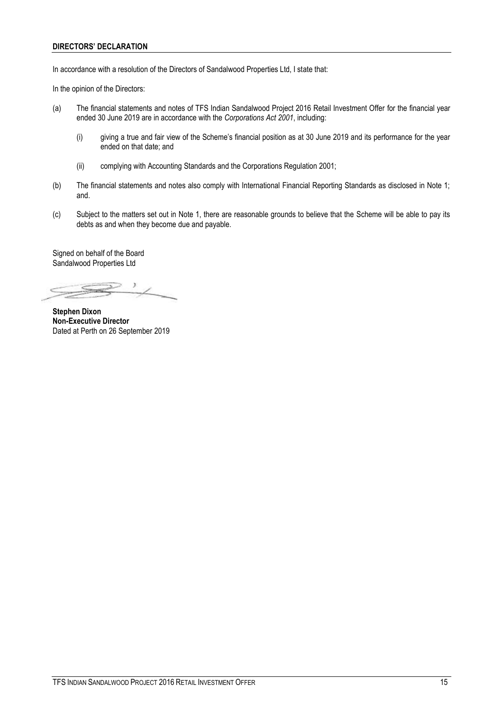#### **DIRECTORS' DECLARATION**

In accordance with a resolution of the Directors of Sandalwood Properties Ltd, I state that:

In the opinion of the Directors:

- (a) The financial statements and notes of TFS Indian Sandalwood Project 2016 Retail Investment Offer for the financial year ended 30 June 2019 are in accordance with the *Corporations Act 2001*, including:
	- (i) giving a true and fair view of the Scheme's financial position as at 30 June 2019 and its performance for the year ended on that date; and
	- (ii) complying with Accounting Standards and the Corporations Regulation 2001;
- (b) The financial statements and notes also comply with International Financial Reporting Standards as disclosed in Note 1; and.
- (c) Subject to the matters set out in Note 1, there are reasonable grounds to believe that the Scheme will be able to pay its debts as and when they become due and payable.

Signed on behalf of the Board Sandalwood Properties Ltd

**Stephen Dixon Non-Executive Director** Dated at Perth on 26 September 2019